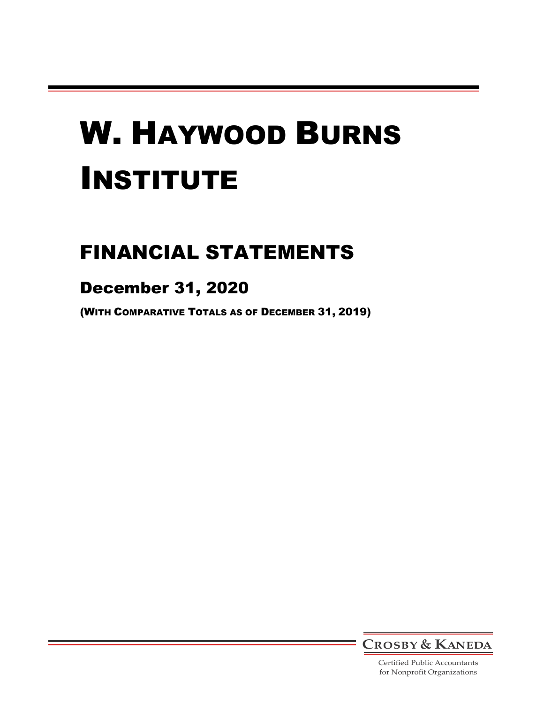# FINANCIAL STATEMENTS

# December 31, 2020

(WITH COMPARATIVE TOTALS AS OF DECEMBER 31, 2019)



Certified Public Accountants for Nonprofit Organizations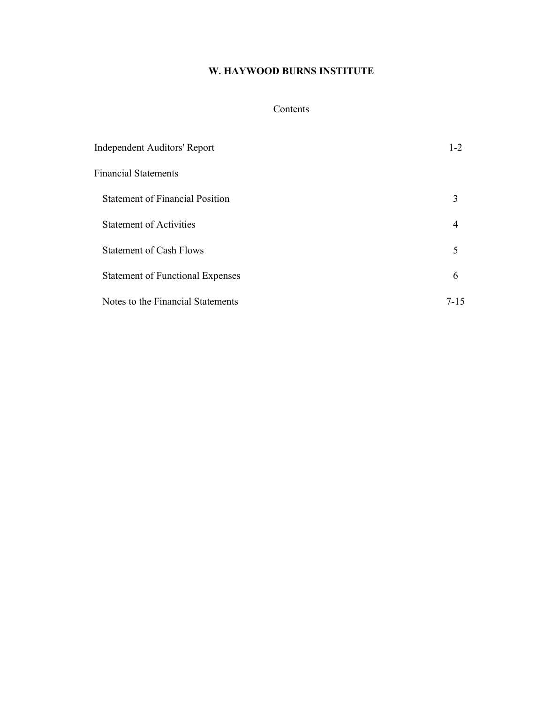# Contents

| Independent Auditors' Report            | $1 - 2$ |
|-----------------------------------------|---------|
| <b>Financial Statements</b>             |         |
| <b>Statement of Financial Position</b>  | 3       |
| <b>Statement of Activities</b>          | 4       |
| <b>Statement of Cash Flows</b>          | 5       |
| <b>Statement of Functional Expenses</b> | 6       |
| Notes to the Financial Statements       | 7-15    |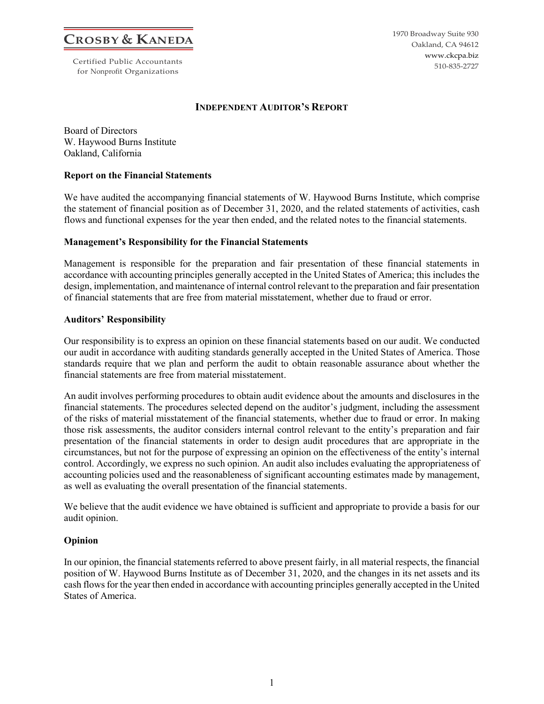**CROSBY & KANEDA**

Certified Public Accountants for Nonprofit Organizations

1970 Broadway Suite 930 Oakland, CA 94612 www.ckcpa.biz 510-835-2727

#### **INDEPENDENT AUDITOR'S REPORT**

Board of Directors W. Haywood Burns Institute Oakland, California

#### **Report on the Financial Statements**

We have audited the accompanying financial statements of W. Haywood Burns Institute, which comprise the statement of financial position as of December 31, 2020, and the related statements of activities, cash flows and functional expenses for the year then ended, and the related notes to the financial statements.

#### **Management's Responsibility for the Financial Statements**

Management is responsible for the preparation and fair presentation of these financial statements in accordance with accounting principles generally accepted in the United States of America; this includes the design, implementation, and maintenance of internal control relevant to the preparation and fair presentation of financial statements that are free from material misstatement, whether due to fraud or error.

#### **Auditors' Responsibility**

Our responsibility is to express an opinion on these financial statements based on our audit. We conducted our audit in accordance with auditing standards generally accepted in the United States of America. Those standards require that we plan and perform the audit to obtain reasonable assurance about whether the financial statements are free from material misstatement.

An audit involves performing procedures to obtain audit evidence about the amounts and disclosures in the financial statements. The procedures selected depend on the auditor's judgment, including the assessment of the risks of material misstatement of the financial statements, whether due to fraud or error. In making those risk assessments, the auditor considers internal control relevant to the entity's preparation and fair presentation of the financial statements in order to design audit procedures that are appropriate in the circumstances, but not for the purpose of expressing an opinion on the effectiveness of the entity's internal control. Accordingly, we express no such opinion. An audit also includes evaluating the appropriateness of accounting policies used and the reasonableness of significant accounting estimates made by management, as well as evaluating the overall presentation of the financial statements.

We believe that the audit evidence we have obtained is sufficient and appropriate to provide a basis for our audit opinion.

# **Opinion**

In our opinion, the financial statements referred to above present fairly, in all material respects, the financial position of W. Haywood Burns Institute as of December 31, 2020, and the changes in its net assets and its cash flows for the year then ended in accordance with accounting principles generally accepted in the United States of America.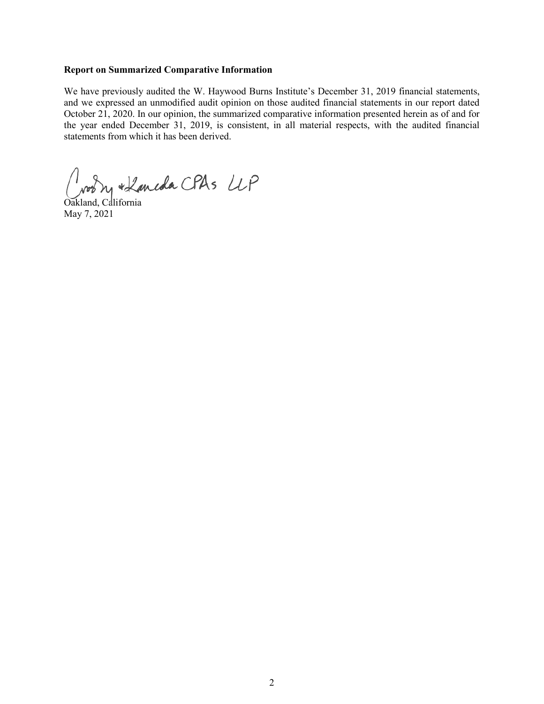#### **Report on Summarized Comparative Information**

We have previously audited the W. Haywood Burns Institute's December 31, 2019 financial statements, and we expressed an unmodified audit opinion on those audited financial statements in our report dated October 21, 2020. In our opinion, the summarized comparative information presented herein as of and for the year ended December 31, 2019, is consistent, in all material respects, with the audited financial statements from which it has been derived.

room + Kaneda CPAs LLP

Oakland, California May 7, 2021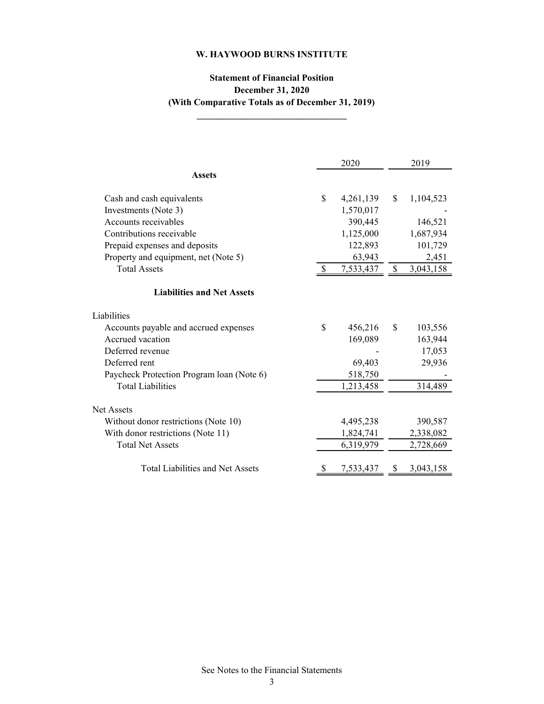# **Statement of Financial Position December 31, 2020 (With Comparative Totals as of December 31, 2019)**

**\_\_\_\_\_\_\_\_\_\_\_\_\_\_\_\_\_\_\_\_\_\_\_\_\_\_\_\_\_\_\_\_**

2020 2019 Cash and cash equivalents  $\qquad \qquad$  4,261,139  $\qquad$  1,104,523  $Investments (Note 3)$   $1,570,017$ Accounts receivables 390,445 146,521 Contributions receivable 1,125,000 1,687,934 Prepaid expenses and deposits 122,893 101,729 Property and equipment, net (Note 5) 63,943 63,943 2,451 Total Assets \$ 7,533,437 \$ 3,043,158 Liabilities Accounts payable and accrued expenses  $$ 456,216 \quad $ 103,556$ Accrued vacation 169,089 163,944 Deferred revenue  $17,053$ Deferred rent 69,403 29,936 Paycheck Protection Program loan (Note 6) 518,750 Total Liabilities 1,213,458 314,489 Net Assets Without donor restrictions (Note 10) 4,495,238 390,587 With donor restrictions (Note 11) 1,824,741 2,338,082 Total Net Assets 6,319,979 2,728,669 Total Liabilities and Net Assets  $\frac{\$}{3}$  7,533,437  $\frac{\$}{3}$  3,043,158 **Assets Liabilities and Net Assets**

See Notes to the Financial Statements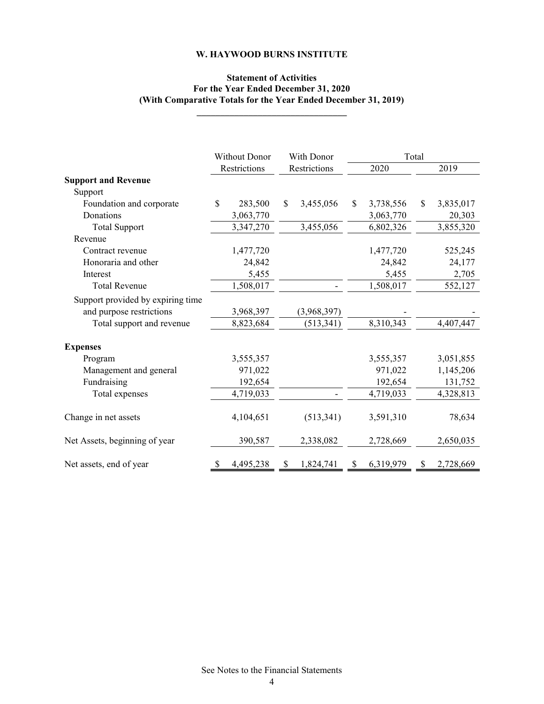# **Statement of Activities For the Year Ended December 31, 2020 (With Comparative Totals for the Year Ended December 31, 2019)**

**\_\_\_\_\_\_\_\_\_\_\_\_\_\_\_\_\_\_\_\_\_\_\_\_\_\_\_\_\_\_\_\_**

|                                   | <b>Without Donor</b> | With Donor      |                 | Total        |           |
|-----------------------------------|----------------------|-----------------|-----------------|--------------|-----------|
|                                   | Restrictions         | Restrictions    | 2020            |              | 2019      |
| <b>Support and Revenue</b>        |                      |                 |                 |              |           |
| Support                           |                      |                 |                 |              |           |
| Foundation and corporate          | \$<br>283,500        | \$<br>3,455,056 | \$<br>3,738,556 | $\mathbb{S}$ | 3,835,017 |
| Donations                         | 3,063,770            |                 | 3,063,770       |              | 20,303    |
| <b>Total Support</b>              | 3,347,270            | 3,455,056       | 6,802,326       |              | 3,855,320 |
| Revenue                           |                      |                 |                 |              |           |
| Contract revenue                  | 1,477,720            |                 | 1,477,720       |              | 525,245   |
| Honoraria and other               | 24,842               |                 | 24,842          |              | 24,177    |
| Interest                          | 5,455                |                 | 5,455           |              | 2,705     |
| <b>Total Revenue</b>              | 1,508,017            |                 | 1,508,017       |              | 552,127   |
| Support provided by expiring time |                      |                 |                 |              |           |
| and purpose restrictions          | 3,968,397            | (3,968,397)     |                 |              |           |
| Total support and revenue         | 8,823,684            | (513, 341)      | 8,310,343       |              | 4,407,447 |
| <b>Expenses</b>                   |                      |                 |                 |              |           |
| Program                           | 3,555,357            |                 | 3,555,357       |              | 3,051,855 |
| Management and general            | 971,022              |                 | 971,022         |              | 1,145,206 |
| Fundraising                       | 192,654              |                 | 192,654         |              | 131,752   |
| Total expenses                    | 4,719,033            |                 | 4,719,033       |              | 4,328,813 |
| Change in net assets              | 4,104,651            | (513, 341)      | 3,591,310       |              | 78,634    |
| Net Assets, beginning of year     | 390,587              | 2,338,082       | 2,728,669       |              | 2,650,035 |
| Net assets, end of year           | 4,495,238            | \$<br>1,824,741 | \$<br>6,319,979 | \$           | 2,728,669 |

See Notes to the Financial Statements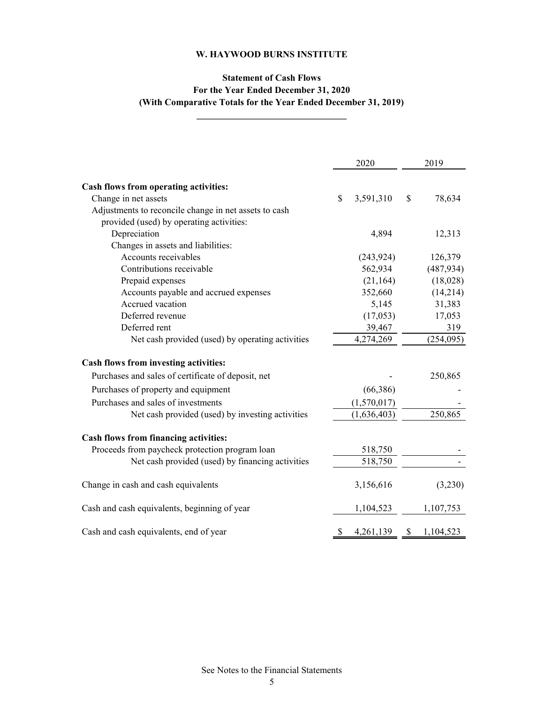# **Statement of Cash Flows For the Year Ended December 31, 2020 (With Comparative Totals for the Year Ended December 31, 2019)**

2019

| Cash flows from operating activities:                 |                        |              |            |
|-------------------------------------------------------|------------------------|--------------|------------|
| Change in net assets                                  | \$<br>3,591,310        | $\mathbb{S}$ | 78,634     |
| Adjustments to reconcile change in net assets to cash |                        |              |            |
| provided (used) by operating activities:              |                        |              |            |
| Depreciation                                          | 4,894                  |              | 12,313     |
| Changes in assets and liabilities:                    |                        |              |            |
| Accounts receivables                                  | (243, 924)             |              | 126,379    |
| Contributions receivable                              | 562,934                |              | (487, 934) |
| Prepaid expenses                                      | (21, 164)              |              | (18,028)   |
| Accounts payable and accrued expenses                 | 352,660                |              | (14,214)   |
| Accrued vacation                                      | 5,145                  |              | 31,383     |
| Deferred revenue                                      | (17,053)               |              | 17,053     |
| Deferred rent                                         | 39,467                 |              | 319        |
| Net cash provided (used) by operating activities      | 4,274,269              |              | (254, 095) |
| Cash flows from investing activities:                 |                        |              |            |
| Purchases and sales of certificate of deposit, net    |                        |              | 250,865    |
| Purchases of property and equipment                   | (66, 386)              |              |            |
| Purchases and sales of investments                    | (1,570,017)            |              |            |
| Net cash provided (used) by investing activities      | (1,636,403)            |              | 250,865    |
| Cash flows from financing activities:                 |                        |              |            |
| Proceeds from paycheck protection program loan        | 518,750                |              |            |
| Net cash provided (used) by financing activities      | 518,750                |              |            |
| Change in cash and cash equivalents                   | 3,156,616              |              | (3,230)    |
| Cash and cash equivalents, beginning of year          | 1,104,523              |              | 1,107,753  |
| Cash and cash equivalents, end of year                | 4,261,139 \$ 1,104,523 |              |            |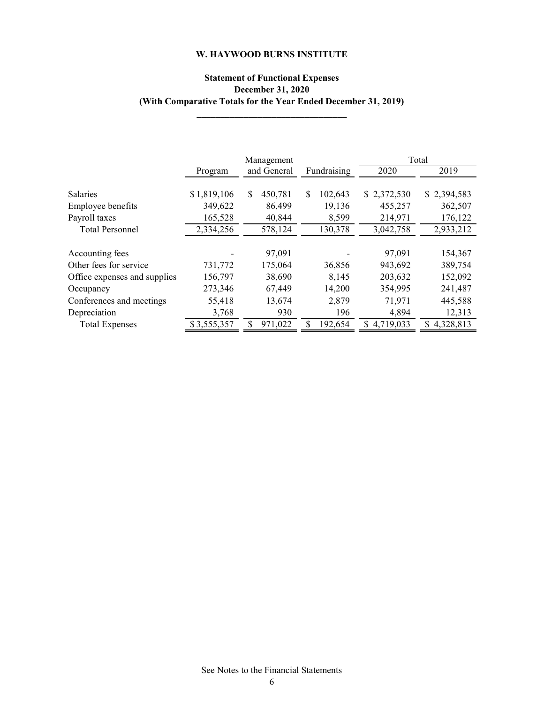# **Statement of Functional Expenses December 31, 2020 (With Comparative Totals for the Year Ended December 31, 2019)**

**\_\_\_\_\_\_\_\_\_\_\_\_\_\_\_\_\_\_\_\_\_\_\_\_\_\_\_\_\_\_\_\_**

|                              |             | Management    |               |                | Total       |
|------------------------------|-------------|---------------|---------------|----------------|-------------|
|                              | Program     | and General   | Fundraising   | 2020           | 2019        |
|                              |             |               |               |                |             |
| <b>Salaries</b>              | \$1,819,106 | \$<br>450,781 | \$<br>102,643 | \$2,372,530    | \$2,394,583 |
| Employee benefits            | 349,622     | 86,499        | 19,136        | 455,257        | 362,507     |
| Payroll taxes                | 165,528     | 40,844        | 8,599         | 214,971        | 176,122     |
| <b>Total Personnel</b>       | 2,334,256   | 578,124       | 130,378       | 3,042,758      | 2,933,212   |
|                              |             |               |               |                |             |
| Accounting fees              |             | 97,091        |               | 97,091         | 154,367     |
| Other fees for service       | 731,772     | 175,064       | 36,856        | 943,692        | 389,754     |
| Office expenses and supplies | 156,797     | 38,690        | 8,145         | 203,632        | 152,092     |
| Occupancy                    | 273,346     | 67,449        | 14,200        | 354,995        | 241,487     |
| Conferences and meetings     | 55,418      | 13,674        | 2,879         | 71,971         | 445,588     |
| Depreciation                 | 3,768       | 930           | 196           | 4,894          | 12,313      |
| <b>Total Expenses</b>        | \$3,555,357 | 971,022       | 192,654       | 4,719,033<br>S | 4,328,813   |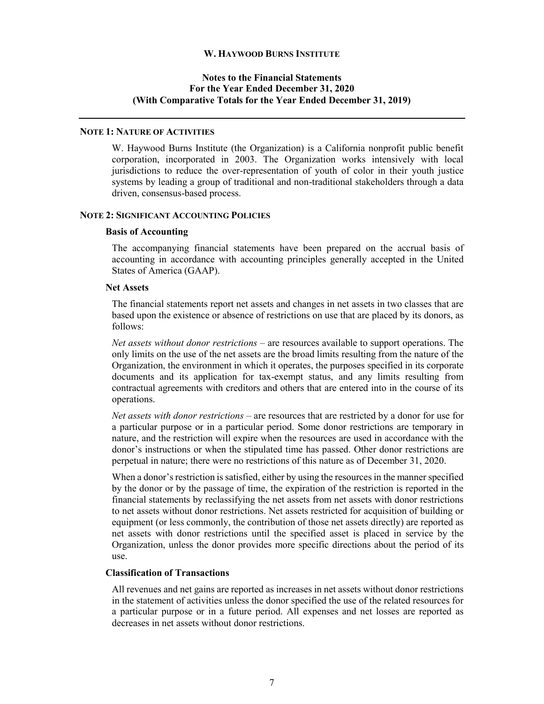# **Notes to the Financial Statements For the Year Ended December 31, 2020 (With Comparative Totals for the Year Ended December 31, 2019)**

# **NOTE 1: NATURE OF ACTIVITIES**

W. Haywood Burns Institute (the Organization) is a California nonprofit public benefit corporation, incorporated in 2003. The Organization works intensively with local jurisdictions to reduce the over-representation of youth of color in their youth justice systems by leading a group of traditional and non-traditional stakeholders through a data driven, consensus-based process.

#### **NOTE 2: SIGNIFICANT ACCOUNTING POLICIES**

#### **Basis of Accounting**

The accompanying financial statements have been prepared on the accrual basis of accounting in accordance with accounting principles generally accepted in the United States of America (GAAP).

#### **Net Assets**

The financial statements report net assets and changes in net assets in two classes that are based upon the existence or absence of restrictions on use that are placed by its donors, as follows:

*Net assets without donor restrictions* – are resources available to support operations. The only limits on the use of the net assets are the broad limits resulting from the nature of the Organization, the environment in which it operates, the purposes specified in its corporate documents and its application for tax-exempt status, and any limits resulting from contractual agreements with creditors and others that are entered into in the course of its operations.

*Net assets with donor restrictions* – are resources that are restricted by a donor for use for a particular purpose or in a particular period. Some donor restrictions are temporary in nature, and the restriction will expire when the resources are used in accordance with the donor's instructions or when the stipulated time has passed. Other donor restrictions are perpetual in nature; there were no restrictions of this nature as of December 31, 2020.

When a donor's restriction is satisfied, either by using the resources in the manner specified by the donor or by the passage of time, the expiration of the restriction is reported in the financial statements by reclassifying the net assets from net assets with donor restrictions to net assets without donor restrictions. Net assets restricted for acquisition of building or equipment (or less commonly, the contribution of those net assets directly) are reported as net assets with donor restrictions until the specified asset is placed in service by the Organization, unless the donor provides more specific directions about the period of its use.

#### **Classification of Transactions**

All revenues and net gains are reported as increases in net assets without donor restrictions in the statement of activities unless the donor specified the use of the related resources for a particular purpose or in a future period. All expenses and net losses are reported as decreases in net assets without donor restrictions.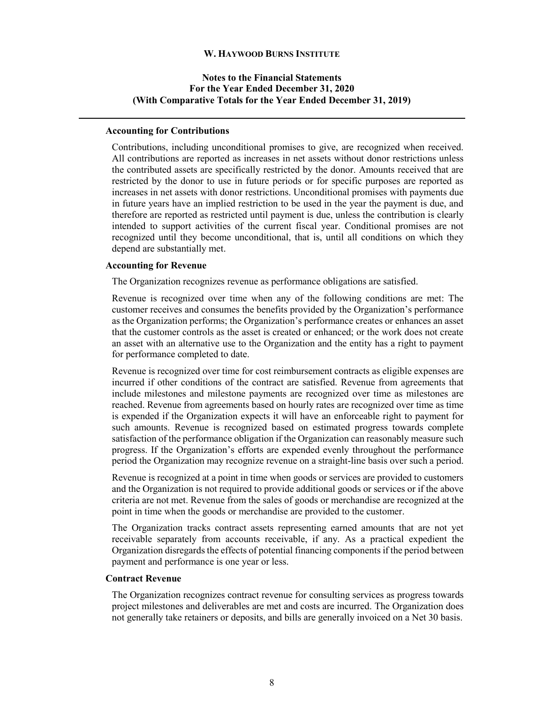# **Notes to the Financial Statements For the Year Ended December 31, 2020 (With Comparative Totals for the Year Ended December 31, 2019)**

#### **Accounting for Contributions**

Contributions, including unconditional promises to give, are recognized when received. All contributions are reported as increases in net assets without donor restrictions unless the contributed assets are specifically restricted by the donor. Amounts received that are restricted by the donor to use in future periods or for specific purposes are reported as increases in net assets with donor restrictions. Unconditional promises with payments due in future years have an implied restriction to be used in the year the payment is due, and therefore are reported as restricted until payment is due, unless the contribution is clearly intended to support activities of the current fiscal year. Conditional promises are not recognized until they become unconditional, that is, until all conditions on which they depend are substantially met.

#### **Accounting for Revenue**

The Organization recognizes revenue as performance obligations are satisfied.

Revenue is recognized over time when any of the following conditions are met: The customer receives and consumes the benefits provided by the Organization's performance as the Organization performs; the Organization's performance creates or enhances an asset that the customer controls as the asset is created or enhanced; or the work does not create an asset with an alternative use to the Organization and the entity has a right to payment for performance completed to date.

Revenue is recognized over time for cost reimbursement contracts as eligible expenses are incurred if other conditions of the contract are satisfied. Revenue from agreements that include milestones and milestone payments are recognized over time as milestones are reached. Revenue from agreements based on hourly rates are recognized over time as time is expended if the Organization expects it will have an enforceable right to payment for such amounts. Revenue is recognized based on estimated progress towards complete satisfaction of the performance obligation if the Organization can reasonably measure such progress. If the Organization's efforts are expended evenly throughout the performance period the Organization may recognize revenue on a straight-line basis over such a period.

Revenue is recognized at a point in time when goods or services are provided to customers and the Organization is not required to provide additional goods or services or if the above criteria are not met. Revenue from the sales of goods or merchandise are recognized at the point in time when the goods or merchandise are provided to the customer.

The Organization tracks contract assets representing earned amounts that are not yet receivable separately from accounts receivable, if any. As a practical expedient the Organization disregards the effects of potential financing components if the period between payment and performance is one year or less.

#### **Contract Revenue**

The Organization recognizes contract revenue for consulting services as progress towards project milestones and deliverables are met and costs are incurred. The Organization does not generally take retainers or deposits, and bills are generally invoiced on a Net 30 basis.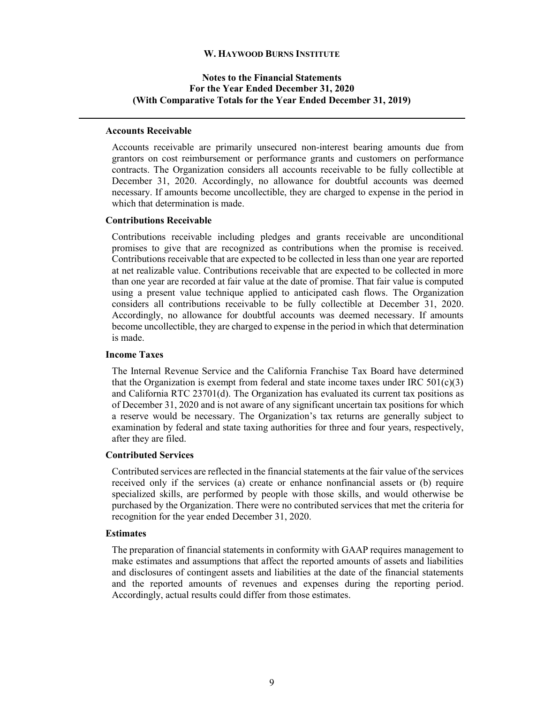# **Notes to the Financial Statements For the Year Ended December 31, 2020 (With Comparative Totals for the Year Ended December 31, 2019)**

#### **Accounts Receivable**

Accounts receivable are primarily unsecured non-interest bearing amounts due from grantors on cost reimbursement or performance grants and customers on performance contracts. The Organization considers all accounts receivable to be fully collectible at December 31, 2020. Accordingly, no allowance for doubtful accounts was deemed necessary. If amounts become uncollectible, they are charged to expense in the period in which that determination is made.

### **Contributions Receivable**

Contributions receivable including pledges and grants receivable are unconditional promises to give that are recognized as contributions when the promise is received. Contributions receivable that are expected to be collected in less than one year are reported at net realizable value. Contributions receivable that are expected to be collected in more than one year are recorded at fair value at the date of promise. That fair value is computed using a present value technique applied to anticipated cash flows. The Organization considers all contributions receivable to be fully collectible at December 31, 2020. Accordingly, no allowance for doubtful accounts was deemed necessary. If amounts become uncollectible, they are charged to expense in the period in which that determination is made.

#### **Income Taxes**

The Internal Revenue Service and the California Franchise Tax Board have determined that the Organization is exempt from federal and state income taxes under IRC  $501(c)(3)$ and California RTC 23701(d). The Organization has evaluated its current tax positions as of December 31, 2020 and is not aware of any significant uncertain tax positions for which a reserve would be necessary. The Organization's tax returns are generally subject to examination by federal and state taxing authorities for three and four years, respectively, after they are filed.

#### **Contributed Services**

Contributed services are reflected in the financial statements at the fair value of the services received only if the services (a) create or enhance nonfinancial assets or (b) require specialized skills, are performed by people with those skills, and would otherwise be purchased by the Organization. There were no contributed services that met the criteria for recognition for the year ended December 31, 2020.

#### **Estimates**

The preparation of financial statements in conformity with GAAP requires management to make estimates and assumptions that affect the reported amounts of assets and liabilities and disclosures of contingent assets and liabilities at the date of the financial statements and the reported amounts of revenues and expenses during the reporting period. Accordingly, actual results could differ from those estimates.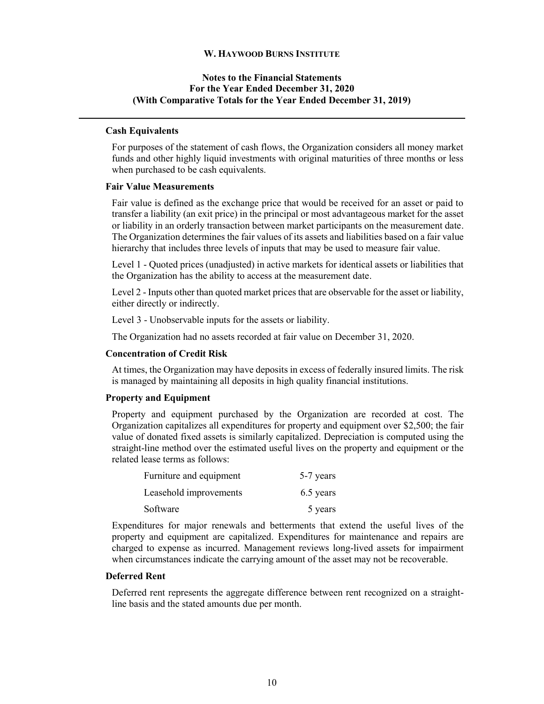# **Notes to the Financial Statements For the Year Ended December 31, 2020 (With Comparative Totals for the Year Ended December 31, 2019)**

### **Cash Equivalents**

For purposes of the statement of cash flows, the Organization considers all money market funds and other highly liquid investments with original maturities of three months or less when purchased to be cash equivalents.

#### **Fair Value Measurements**

Fair value is defined as the exchange price that would be received for an asset or paid to transfer a liability (an exit price) in the principal or most advantageous market for the asset or liability in an orderly transaction between market participants on the measurement date. The Organization determines the fair values of its assets and liabilities based on a fair value hierarchy that includes three levels of inputs that may be used to measure fair value.

Level 1 - Quoted prices (unadjusted) in active markets for identical assets or liabilities that the Organization has the ability to access at the measurement date.

Level 2 - Inputs other than quoted market prices that are observable for the asset or liability, either directly or indirectly.

Level 3 - Unobservable inputs for the assets or liability.

The Organization had no assets recorded at fair value on December 31, 2020.

#### **Concentration of Credit Risk**

At times, the Organization may have deposits in excess of federally insured limits. The risk is managed by maintaining all deposits in high quality financial institutions.

#### **Property and Equipment**

Property and equipment purchased by the Organization are recorded at cost. The Organization capitalizes all expenditures for property and equipment over \$2,500; the fair value of donated fixed assets is similarly capitalized. Depreciation is computed using the straight-line method over the estimated useful lives on the property and equipment or the related lease terms as follows:

| Furniture and equipment | 5-7 years |
|-------------------------|-----------|
| Leasehold improvements  | 6.5 years |
| Software                | 5 years   |

Expenditures for major renewals and betterments that extend the useful lives of the property and equipment are capitalized. Expenditures for maintenance and repairs are charged to expense as incurred. Management reviews long-lived assets for impairment when circumstances indicate the carrying amount of the asset may not be recoverable.

#### **Deferred Rent**

Deferred rent represents the aggregate difference between rent recognized on a straightline basis and the stated amounts due per month.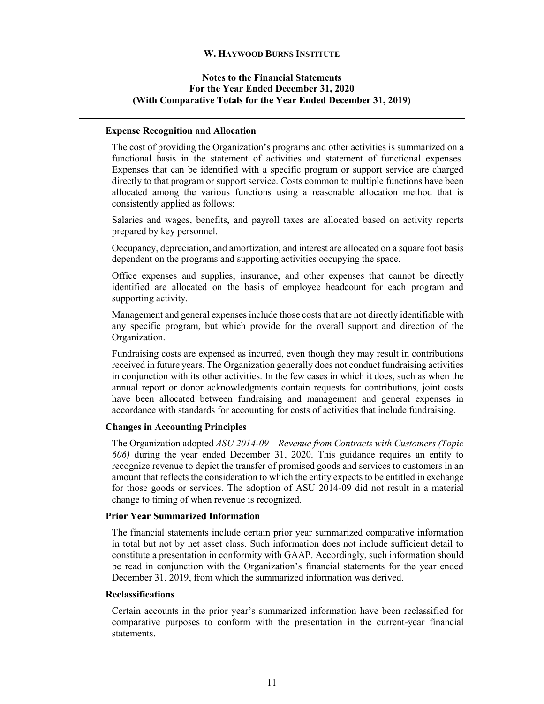# **Notes to the Financial Statements For the Year Ended December 31, 2020 (With Comparative Totals for the Year Ended December 31, 2019)**

#### **Expense Recognition and Allocation**

The cost of providing the Organization's programs and other activities is summarized on a functional basis in the statement of activities and statement of functional expenses. Expenses that can be identified with a specific program or support service are charged directly to that program or support service. Costs common to multiple functions have been allocated among the various functions using a reasonable allocation method that is consistently applied as follows:

Salaries and wages, benefits, and payroll taxes are allocated based on activity reports prepared by key personnel.

Occupancy, depreciation, and amortization, and interest are allocated on a square foot basis dependent on the programs and supporting activities occupying the space.

Office expenses and supplies, insurance, and other expenses that cannot be directly identified are allocated on the basis of employee headcount for each program and supporting activity.

Management and general expenses include those costs that are not directly identifiable with any specific program, but which provide for the overall support and direction of the Organization.

Fundraising costs are expensed as incurred, even though they may result in contributions received in future years. The Organization generally does not conduct fundraising activities in conjunction with its other activities. In the few cases in which it does, such as when the annual report or donor acknowledgments contain requests for contributions, joint costs have been allocated between fundraising and management and general expenses in accordance with standards for accounting for costs of activities that include fundraising.

#### **Changes in Accounting Principles**

The Organization adopted *ASU 2014-09 – Revenue from Contracts with Customers (Topic 606)* during the year ended December 31, 2020. This guidance requires an entity to recognize revenue to depict the transfer of promised goods and services to customers in an amount that reflects the consideration to which the entity expects to be entitled in exchange for those goods or services. The adoption of ASU 2014-09 did not result in a material change to timing of when revenue is recognized.

#### **Prior Year Summarized Information**

The financial statements include certain prior year summarized comparative information in total but not by net asset class. Such information does not include sufficient detail to constitute a presentation in conformity with GAAP. Accordingly, such information should be read in conjunction with the Organization's financial statements for the year ended December 31, 2019, from which the summarized information was derived.

#### **Reclassifications**

Certain accounts in the prior year's summarized information have been reclassified for comparative purposes to conform with the presentation in the current-year financial statements.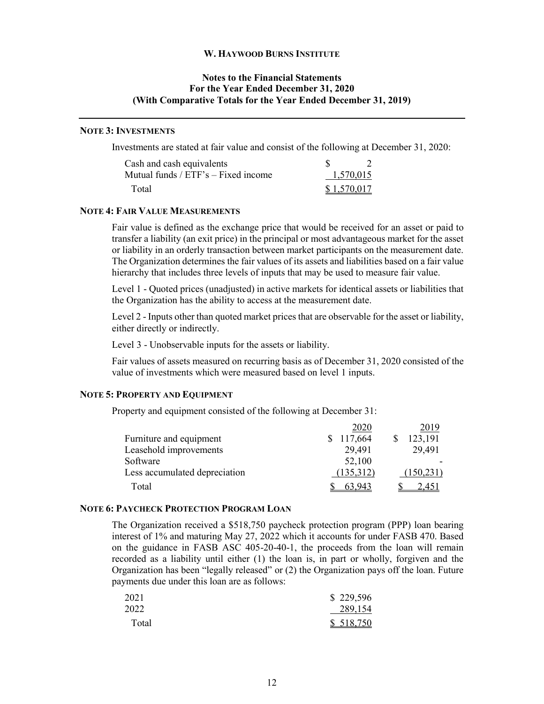# **Notes to the Financial Statements For the Year Ended December 31, 2020 (With Comparative Totals for the Year Ended December 31, 2019)**

#### **NOTE 3: INVESTMENTS**

Investments are stated at fair value and consist of the following at December 31, 2020:

| Cash and cash equivalents           |             |  |
|-------------------------------------|-------------|--|
| Mutual funds / ETF's – Fixed income | 1,570,015   |  |
| Total                               | \$1,570,017 |  |

#### **NOTE 4: FAIR VALUE MEASUREMENTS**

Fair value is defined as the exchange price that would be received for an asset or paid to transfer a liability (an exit price) in the principal or most advantageous market for the asset or liability in an orderly transaction between market participants on the measurement date. The Organization determines the fair values of its assets and liabilities based on a fair value hierarchy that includes three levels of inputs that may be used to measure fair value.

Level 1 - Quoted prices (unadjusted) in active markets for identical assets or liabilities that the Organization has the ability to access at the measurement date.

Level 2 - Inputs other than quoted market prices that are observable for the asset or liability, either directly or indirectly.

Level 3 - Unobservable inputs for the assets or liability.

Fair values of assets measured on recurring basis as of December 31, 2020 consisted of the value of investments which were measured based on level 1 inputs.

#### **NOTE 5: PROPERTY AND EQUIPMENT**

Property and equipment consisted of the following at December 31:

|                               | 2020      | 2019      |
|-------------------------------|-----------|-----------|
| Furniture and equipment       | 117,664   | 123,191   |
| Leasehold improvements        | 29,491    | 29,491    |
| Software                      | 52,100    |           |
| Less accumulated depreciation | (135,312) | (150,231) |
| Total                         | 63.943    | 2.451     |

#### **NOTE 6: PAYCHECK PROTECTION PROGRAM LOAN**

The Organization received a \$518,750 paycheck protection program (PPP) loan bearing interest of 1% and maturing May 27, 2022 which it accounts for under FASB 470. Based on the guidance in FASB ASC 405-20-40-1, the proceeds from the loan will remain recorded as a liability until either (1) the loan is, in part or wholly, forgiven and the Organization has been "legally released" or (2) the Organization pays off the loan. Future payments due under this loan are as follows:

| 2021  | \$229,596 |
|-------|-----------|
| 2022  | 289,154   |
| Total | \$518,750 |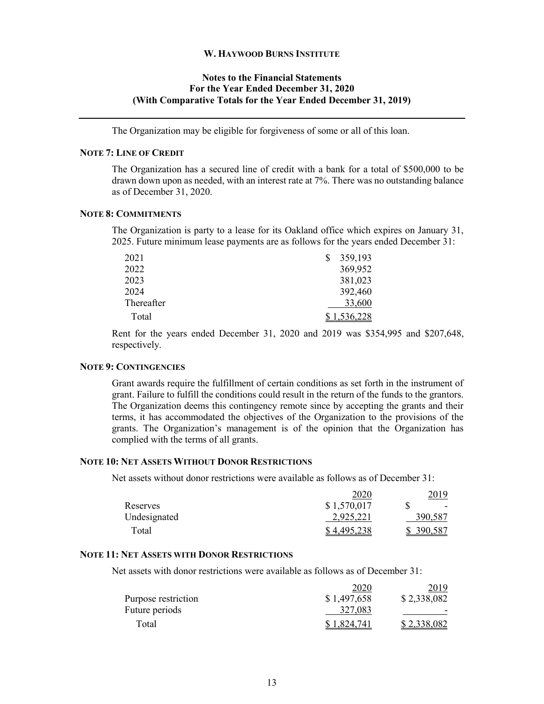# **Notes to the Financial Statements For the Year Ended December 31, 2020 (With Comparative Totals for the Year Ended December 31, 2019)**

The Organization may be eligible for forgiveness of some or all of this loan.

#### **NOTE 7: LINE OF CREDIT**

The Organization has a secured line of credit with a bank for a total of \$500,000 to be drawn down upon as needed, with an interest rate at 7%. There was no outstanding balance as of December 31, 2020.

#### **NOTE 8: COMMITMENTS**

The Organization is party to a lease for its Oakland office which expires on January 31, 2025. Future minimum lease payments are as follows for the years ended December 31:

| 2021       | 359,193     |
|------------|-------------|
| 2022       | 369,952     |
| 2023       | 381,023     |
| 2024       | 392,460     |
| Thereafter | 33,600      |
| Total      | \$1,536,228 |

Rent for the years ended December 31, 2020 and 2019 was \$354,995 and \$207,648, respectively.

#### **NOTE 9: CONTINGENCIES**

Grant awards require the fulfillment of certain conditions as set forth in the instrument of grant. Failure to fulfill the conditions could result in the return of the funds to the grantors. The Organization deems this contingency remote since by accepting the grants and their terms, it has accommodated the objectives of the Organization to the provisions of the grants. The Organization's management is of the opinion that the Organization has complied with the terms of all grants.

#### **NOTE 10: NET ASSETS WITHOUT DONOR RESTRICTIONS**

Net assets without donor restrictions were available as follows as of December 31:

|              | 2020        | 2019      |
|--------------|-------------|-----------|
| Reserves     | \$1,570,017 | $\sim$    |
| Undesignated | 2,925,221   | 390,587   |
| Total        | \$4,495,238 | \$390,587 |

#### **NOTE 11: NET ASSETS WITH DONOR RESTRICTIONS**

Net assets with donor restrictions were available as follows as of December 31:

|                     | 2020        | 2019        |
|---------------------|-------------|-------------|
| Purpose restriction | \$1,497,658 | \$2,338,082 |
| Future periods      | 327,083     |             |
| Total               | \$1,824,741 | \$2,338,082 |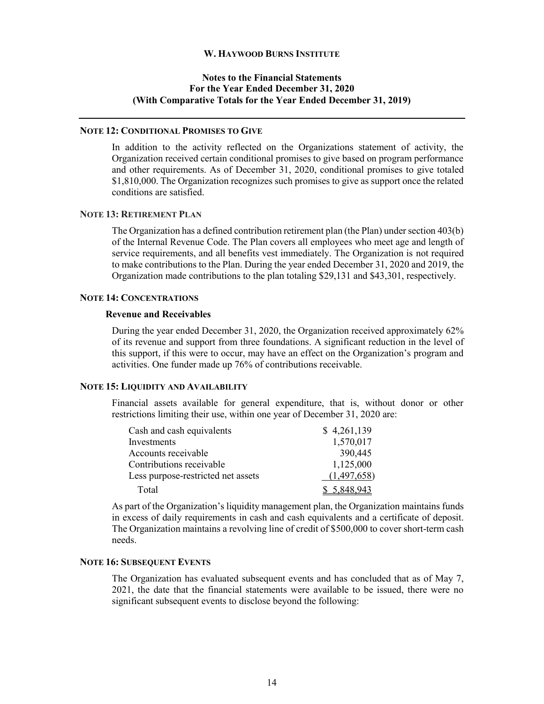# **Notes to the Financial Statements For the Year Ended December 31, 2020 (With Comparative Totals for the Year Ended December 31, 2019)**

#### **NOTE 12: CONDITIONAL PROMISES TO GIVE**

In addition to the activity reflected on the Organizations statement of activity, the Organization received certain conditional promises to give based on program performance and other requirements. As of December 31, 2020, conditional promises to give totaled \$1,810,000. The Organization recognizes such promises to give as support once the related conditions are satisfied.

#### **NOTE 13: RETIREMENT PLAN**

The Organization has a defined contribution retirement plan (the Plan) under section 403(b) of the Internal Revenue Code. The Plan covers all employees who meet age and length of service requirements, and all benefits vest immediately. The Organization is not required to make contributions to the Plan. During the year ended December 31, 2020 and 2019, the Organization made contributions to the plan totaling \$29,131 and \$43,301, respectively.

# **NOTE 14: CONCENTRATIONS**

#### **Revenue and Receivables**

During the year ended December 31, 2020, the Organization received approximately 62% of its revenue and support from three foundations. A significant reduction in the level of this support, if this were to occur, may have an effect on the Organization's program and activities. One funder made up 76% of contributions receivable.

#### **NOTE 15: LIQUIDITY AND AVAILABILITY**

Financial assets available for general expenditure, that is, without donor or other restrictions limiting their use, within one year of December 31, 2020 are:

| Cash and cash equivalents          | \$4,261,139 |
|------------------------------------|-------------|
| Investments                        | 1,570,017   |
| Accounts receivable                | 390,445     |
| Contributions receivable           | 1,125,000   |
| Less purpose-restricted net assets | (1,497,658) |
| Total                              | \$5,848,943 |

As part of the Organization's liquidity management plan, the Organization maintains funds in excess of daily requirements in cash and cash equivalents and a certificate of deposit. The Organization maintains a revolving line of credit of \$500,000 to cover short-term cash needs.

# **NOTE 16: SUBSEQUENT EVENTS**

The Organization has evaluated subsequent events and has concluded that as of May 7, 2021, the date that the financial statements were available to be issued, there were no significant subsequent events to disclose beyond the following: